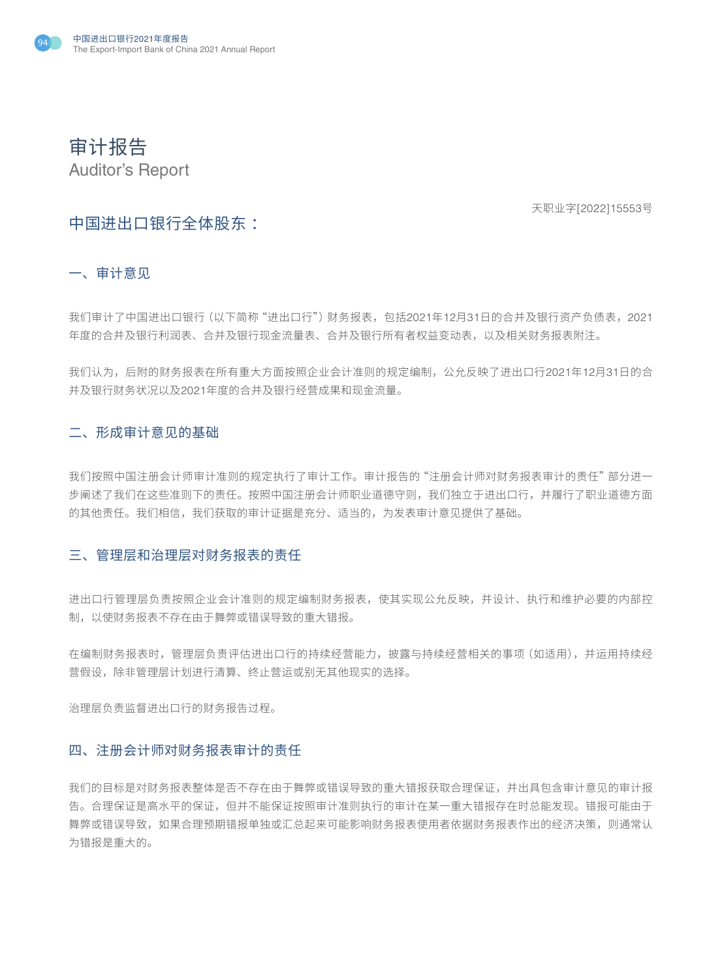

审计报告 Auditor's Report

天职业字[2022]15553号

# 中国进出口银行全体股东 :

一、审计意见

我们审计了中国进出口银行(以下简称"进出口行")财务报表,包括2021年12月31日的合并及银行资产负债表,2021 年度的合并及银行利润表、合并及银行现金流量表、合并及银行所有者权益变动表,以及相关财务报表附注。

我们认为,后附的财务报表在所有重大方面按照企业会计准则的规定编制,公允反映了进出口行2021年12月31日的合 并及银行财务状况以及2021年度的合并及银行经营成果和现金流量。

### 二、形成审计意见的基础

我们按照中国注册会计师审计准则的规定执行了审计工作。审计报告的"注册会计师对财务报表审计的责任"部分进一 步阐述了我们在这些准则下的责任。按照中国注册会计师职业道德守则,我们独立于进出口行,并履行了职业道德方面 的其他责任。我们相信,我们获取的审计证据是充分、适当的,为发表审计意见提供了基础。

### 三、管理层和治理层对财务报表的责任

进出口行管理层负责按照企业会计准则的规定编制财务报表,使其实现公允反映,并设计、执行和维护必要的内部控 制,以使财务报表不存在由于舞弊或错误导致的重大错报。

在编制财务报表时,管理层负责评估进出口行的持续经营能力,披露与持续经营相关的事项(如适用),并运用持续经 营假设,除非管理层计划进行清算、终止营运或别无其他现实的选择。

治理层负责监督进出口行的财务报告过程。

#### 四、注册会计师对财务报表审计的责任

我们的目标是对财务报表整体是否不存在由于舞弊或错误导致的重大错报获取合理保证,并出具包含审计意见的审计报 告。合理保证是高水平的保证,但并不能保证按照审计准则执行的审计在某一重大错报存在时总能发现。错报可能由于 舞弊或错误导致,如果合理预期错报单独或汇总起来可能影响财务报表使用者依据财务报表作出的经济决策,则通常认 为错报是重大的。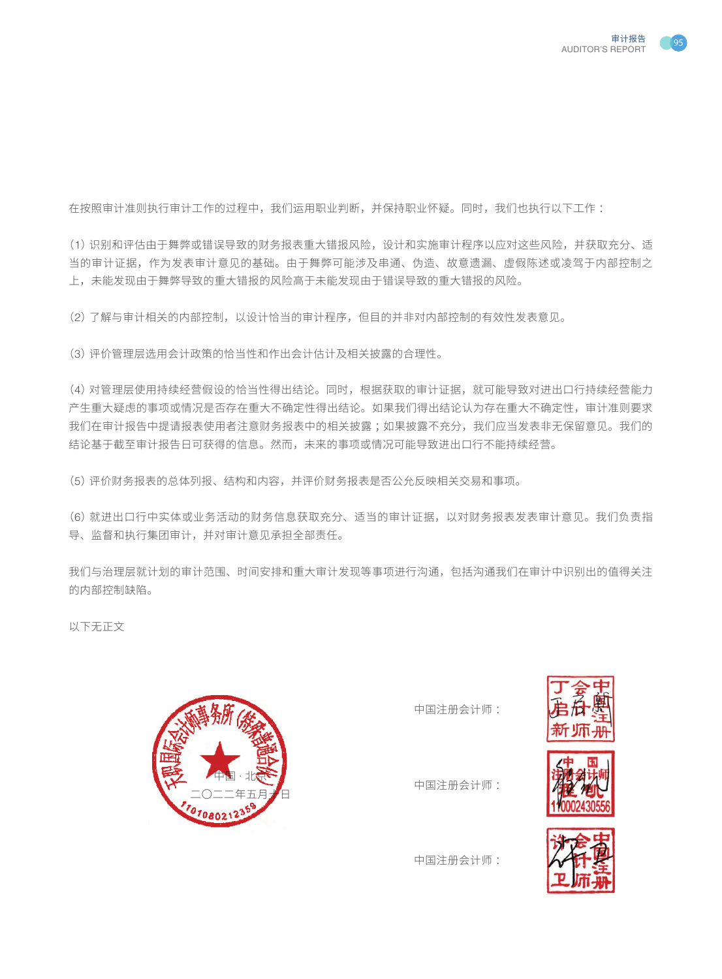

在按照审计准则执行审计工作的过程中,我们运用职业判断,并保持职业怀疑。同时,我们也执行以下工作:

(1)识别和评估由于舞弊或错误导致的财务报表重大错报风险,设计和实施审计程序以应对这些风险,并获取充分、适 当的审计证据,作为发表审计意见的基础。由于舞弊可能涉及串通、伪造、故意遗漏、虚假陈述或凌驾于内部控制之 上,未能发现由于舞弊导致的重大错报的风险高于未能发现由于错误导致的重大错报的风险。

(2)了解与审计相关的内部控制,以设计恰当的审计程序,但目的并非对内部控制的有效性发表意见。

(3)评价管理层选用会计政策的恰当性和作出会计估计及相关披露的合理性。

(4)对管理层使用持续经营假设的恰当性得出结论。同时,根据获取的审计证据,就可能导致对进出口行持续经营能力 产生重大疑虑的事项或情况是否存在重大不确定性得出结论。如果我们得出结论认为存在重大不确定性,审计准则要求 我们在审计报告中提请报表使用者注意财务报表中的相关披露 ;如果披露不充分,我们应当发表非无保留意见。我们的 结论基于截至审计报告日可获得的信息。然而,未来的事项或情况可能导致进出口行不能持续经营。

(5)评价财务报表的总体列报、结构和内容,并评价财务报表是否公允反映相关交易和事项。

(6)就进出口行中实体或业务活动的财务信息获取充分、适当的审计证据,以对财务报表发表审计意见。我们负责指 导、监督和执行集团审计,并对审计意见承担全部责任。

我们与治理层就计划的审计范围、时间安排和重大审计发现等事项进行沟通,包括沟通我们在审计中识别出的值得关注 的内部控制缺陷。

以下无正文



中国注册会计师 :







中国注册会计师 :

中国注册会计师 :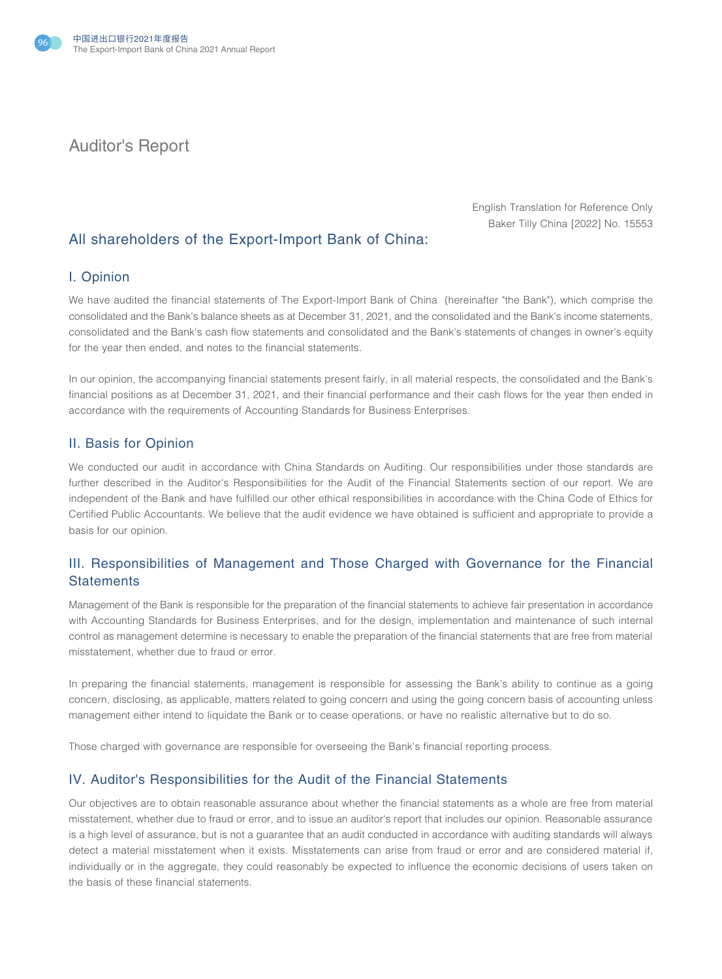

# Auditor's Report

English Translation for Reference Only Baker Tilly China [2022] No. 15553

# All shareholders of the Export-Import Bank of China:

#### I. Opinion

We have audited the financial statements of The Export-Import Bank of China (hereinafter "the Bank"), which comprise the consolidated and the Bank's balance sheets as at December 31, 2021, and the consolidated and the Bank's income statements, consolidated and the Bank's cash flow statements and consolidated and the Bank's statements of changes in owner's equity for the year then ended, and notes to the financial statements.

In our opinion, the accompanying financial statements present fairly, in all material respects, the consolidated and the Bank's financial positions as at December 31, 2021, and their financial performance and their cash flows for the year then ended in accordance with the requirements of Accounting Standards for Business Enterprises.

#### II. Basis for Opinion

We conducted our audit in accordance with China Standards on Auditing. Our responsibilities under those standards are further described in the Auditor's Responsibilities for the Audit of the Financial Statements section of our report. We are independent of the Bank and have fulfilled our other ethical responsibilities in accordance with the China Code of Ethics for Certified Public Accountants. We believe that the audit evidence we have obtained is sufficient and appropriate to provide a basis for our opinion.

# III. Responsibilities of Management and Those Charged with Governance for the Financial **Statements**

Management of the Bank is responsible for the preparation of the financial statements to achieve fair presentation in accordance with Accounting Standards for Business Enterprises, and for the design, implementation and maintenance of such internal control as management determine is necessary to enable the preparation of the financial statements that are free from material misstatement, whether due to fraud or error.

In preparing the financial statements, management is responsible for assessing the Bank's ability to continue as a going concern, disclosing, as applicable, matters related to going concern and using the going concern basis of accounting unless management either intend to liquidate the Bank or to cease operations, or have no realistic alternative but to do so.

Those charged with governance are responsible for overseeing the Bank's financial reporting process.

### IV. Auditor's Responsibilities for the Audit of the Financial Statements

Our objectives are to obtain reasonable assurance about whether the financial statements as a whole are free from material misstatement, whether due to fraud or error, and to issue an auditor's report that includes our opinion. Reasonable assurance is a high level of assurance, but is not a guarantee that an audit conducted in accordance with auditing standards will always detect a material misstatement when it exists. Misstatements can arise from fraud or error and are considered material if, individually or in the aggregate, they could reasonably be expected to influence the economic decisions of users taken on the basis of these financial statements.